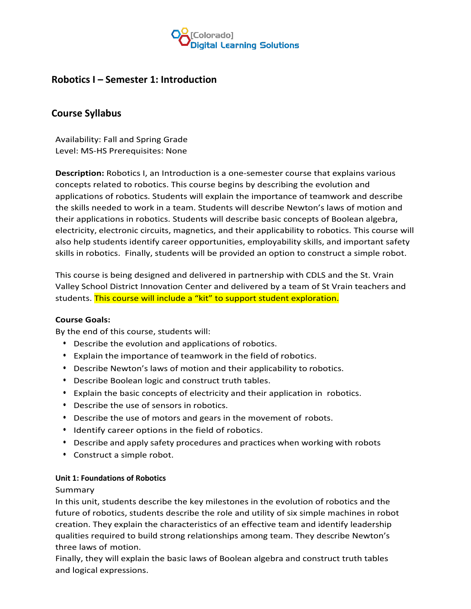

# **Robotics I – Semester 1: Introduction**

# **Course Syllabus**

Availability: Fall and Spring Grade Level: MS-HS Prerequisites: None

**Description:** Robotics I, an Introduction is a one-semester course that explains various concepts related to robotics. This course begins by describing the evolution and applications of robotics. Students will explain the importance of teamwork and describe the skills needed to work in a team. Students will describe Newton's laws of motion and their applications in robotics. Students will describe basic concepts of Boolean algebra, electricity, electronic circuits, magnetics, and their applicability to robotics. This course will also help students identify career opportunities, employability skills, and important safety skills in robotics. Finally, students will be provided an option to construct a simple robot.

This course is being designed and delivered in partnership with CDLS and the St. Vrain Valley School District Innovation Center and delivered by a team of St Vrain teachers and students. This course will include a "kit" to support student exploration.

## **Course Goals:**

By the end of this course, students will:

- Describe the evolution and applications of robotics.
- Explain the importance of teamwork in the field of robotics.
- Describe Newton's laws of motion and their applicability to robotics.
- Describe Boolean logic and construct truth tables.
- Explain the basic concepts of electricity and their application in robotics.
- Describe the use of sensors in robotics.
- Describe the use of motors and gears in the movement of robots.
- Identify career options in the field of robotics.
- Describe and apply safety procedures and practices when working with robots
- Construct a simple robot.

### **Unit 1: Foundations of Robotics**

### Summary

In this unit, students describe the key milestones in the evolution of robotics and the future of robotics, students describe the role and utility of six simple machines in robot creation. They explain the characteristics of an effective team and identify leadership qualities required to build strong relationships among team. They describe Newton's three laws of motion.

Finally, they will explain the basic laws of Boolean algebra and construct truth tables and logical expressions.